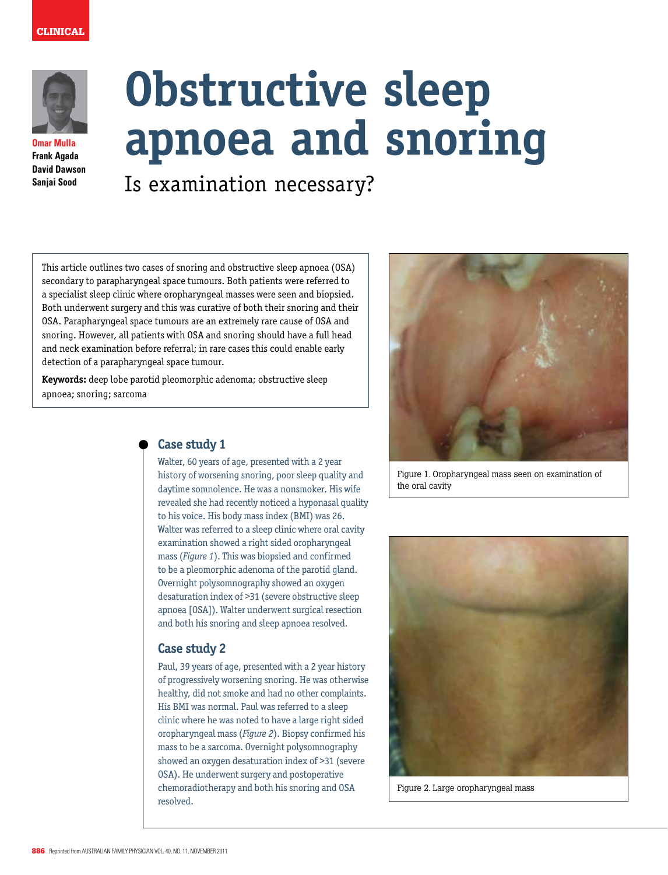# clinical



**Omar Mulla Frank Agada David Dawson Sanjai Sood**

# **Obstructive sleep apnoea and snoring**

Is examination necessary?

This article outlines two cases of snoring and obstructive sleep apnoea (OSA) secondary to parapharyngeal space tumours. Both patients were referred to a specialist sleep clinic where oropharyngeal masses were seen and biopsied. Both underwent surgery and this was curative of both their snoring and their OSA. Parapharyngeal space tumours are an extremely rare cause of OSA and snoring. However, all patients with OSA and snoring should have a full head and neck examination before referral; in rare cases this could enable early detection of a parapharyngeal space tumour.

**Keywords:** deep lobe parotid pleomorphic adenoma; obstructive sleep apnoea; snoring; sarcoma



Figure 1. Oropharyngeal mass seen on examination of the oral cavity



Figure 2. Large oropharyngeal mass

# **Case study 1**

Walter, 60 years of age, presented with a 2 year history of worsening snoring, poor sleep quality and daytime somnolence. He was a nonsmoker. His wife revealed she had recently noticed a hyponasal quality to his voice. His body mass index (BMI) was 26. Walter was referred to a sleep clinic where oral cavity examination showed a right sided oropharyngeal mass (*Figure 1*). This was biopsied and confirmed to be a pleomorphic adenoma of the parotid gland. Overnight polysomnography showed an oxygen desaturation index of >31 (severe obstructive sleep apnoea [OSA]). Walter underwent surgical resection and both his snoring and sleep apnoea resolved.

# **Case study 2**

Paul, 39 years of age, presented with a 2 year history of progressively worsening snoring. He was otherwise healthy, did not smoke and had no other complaints. His BMI was normal. Paul was referred to a sleep clinic where he was noted to have a large right sided oropharyngeal mass (*Figure 2*). Biopsy confirmed his mass to be a sarcoma. Overnight polysomnography showed an oxygen desaturation index of >31 (severe OSA). He underwent surgery and postoperative chemoradiotherapy and both his snoring and OSA resolved.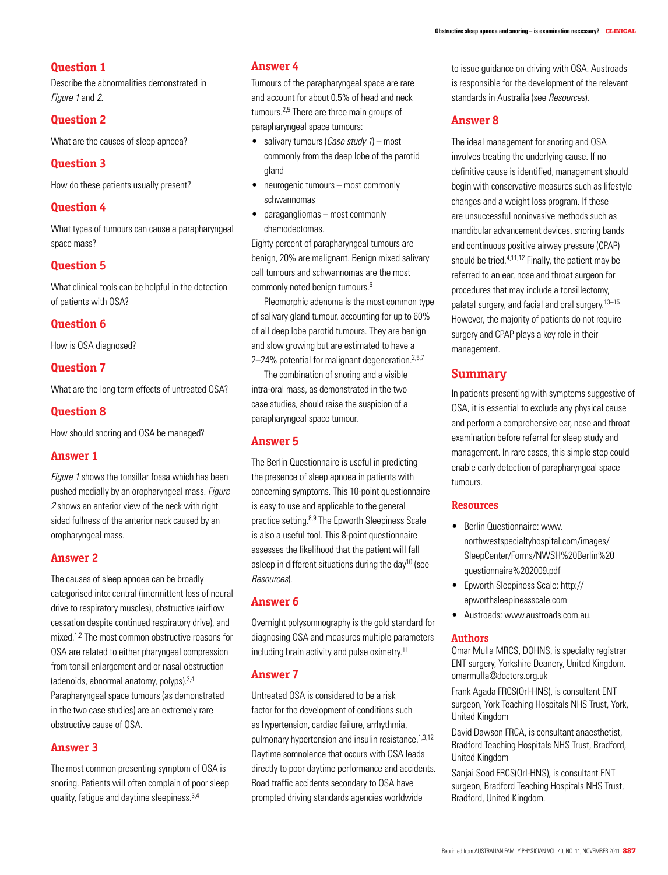# **Question 1**

Describe the abnormalities demonstrated in Figure 1 and 2.

### **Question 2**

What are the causes of sleep apnoea?

#### **Question 3**

How do these patients usually present?

# **Question 4**

What types of tumours can cause a parapharyngeal space mass?

#### **Question 5**

What clinical tools can be helpful in the detection of patients with OSA?

#### **Question 6**

How is OSA diagnosed?

#### **Question 7**

What are the long term effects of untreated OSA?

#### **Question 8**

How should snoring and OSA be managed?

#### **Answer 1**

Figure 1 shows the tonsillar fossa which has been pushed medially by an oropharyngeal mass. Figure 2 shows an anterior view of the neck with right sided fullness of the anterior neck caused by an oropharyngeal mass.

#### **Answer 2**

The causes of sleep apnoea can be broadly categorised into: central (intermittent loss of neural drive to respiratory muscles), obstructive (airflow cessation despite continued respiratory drive), and mixed.1,2 The most common obstructive reasons for OSA are related to either pharyngeal compression from tonsil enlargement and or nasal obstruction (adenoids, abnormal anatomy, polyps).3,4 Parapharyngeal space tumours (as demonstrated in the two case studies) are an extremely rare obstructive cause of OSA.

#### **Answer 3**

The most common presenting symptom of OSA is snoring. Patients will often complain of poor sleep quality, fatigue and daytime sleepiness.3,4

## **Answer 4**

Tumours of the parapharyngeal space are rare and account for about 0.5% of head and neck tumours.2,5 There are three main groups of parapharyngeal space tumours:

- salivary tumours (*Case study 1*) most commonly from the deep lobe of the parotid gland
- neurogenic tumours most commonly schwannomas
- paragangliomas most commonly chemodectomas.

Eighty percent of parapharyngeal tumours are benign, 20% are malignant. Benign mixed salivary cell tumours and schwannomas are the most commonly noted benign tumours.6

Pleomorphic adenoma is the most common type of salivary gland tumour, accounting for up to 60% of all deep lobe parotid tumours. They are benign and slow growing but are estimated to have a 2-24% potential for malignant degeneration.<sup>2,5,7</sup>

The combination of snoring and a visible intra-oral mass, as demonstrated in the two case studies, should raise the suspicion of a parapharyngeal space tumour.

#### **Answer 5**

The Berlin Questionnaire is useful in predicting the presence of sleep apnoea in patients with concerning symptoms. This 10-point questionnaire is easy to use and applicable to the general practice setting.8,9 The Epworth Sleepiness Scale is also a useful tool. This 8-point questionnaire assesses the likelihood that the patient will fall asleep in different situations during the day<sup>10</sup> (see Resources).

#### **Answer 6**

Overnight polysomnography is the gold standard for diagnosing OSA and measures multiple parameters including brain activity and pulse oximetry.11

#### **Answer 7**

Untreated OSA is considered to be a risk factor for the development of conditions such as hypertension, cardiac failure, arrhythmia, pulmonary hypertension and insulin resistance.<sup>1,3,12</sup> Daytime somnolence that occurs with OSA leads directly to poor daytime performance and accidents. Road traffic accidents secondary to OSA have prompted driving standards agencies worldwide

to issue guidance on driving with OSA. Austroads is responsible for the development of the relevant standards in Australia (see Resources).

#### **Answer 8**

The ideal management for snoring and OSA involves treating the underlying cause. If no definitive cause is identified, management should begin with conservative measures such as lifestyle changes and a weight loss program. If these are unsuccessful noninvasive methods such as mandibular advancement devices, snoring bands and continuous positive airway pressure (CPAP) should be tried.4,11,12 Finally, the patient may be referred to an ear, nose and throat surgeon for procedures that may include a tonsillectomy, palatal surgery, and facial and oral surgery.13–15 However, the majority of patients do not require surgery and CPAP plays a key role in their management.

# **Summary**

In patients presenting with symptoms suggestive of OSA, it is essential to exclude any physical cause and perform a comprehensive ear, nose and throat examination before referral for sleep study and management. In rare cases, this simple step could enable early detection of parapharyngeal space tumours.

#### **Resources**

- Berlin Questionnaire: www. northwestspecialtyhospital.com/images/ SleepCenter/Forms/NWSH%20Berlin%20 questionnaire%202009.pdf
- • Epworth Sleepiness Scale: http:// epworthsleepinessscale.com
- • Austroads: www.austroads.com.au.

#### **Authors**

Omar Mulla MRCS, DOHNS, is specialty registrar ENT surgery, Yorkshire Deanery, United Kingdom. omarmulla@doctors.org.uk

Frank Agada FRCS(Orl-HNS), is consultant ENT surgeon, York Teaching Hospitals NHS Trust, York, United Kingdom

David Dawson FRCA, is consultant anaesthetist, Bradford Teaching Hospitals NHS Trust, Bradford, United Kingdom

Sanjai Sood FRCS(Orl-HNS), is consultant ENT surgeon, Bradford Teaching Hospitals NHS Trust, Bradford, United Kingdom.